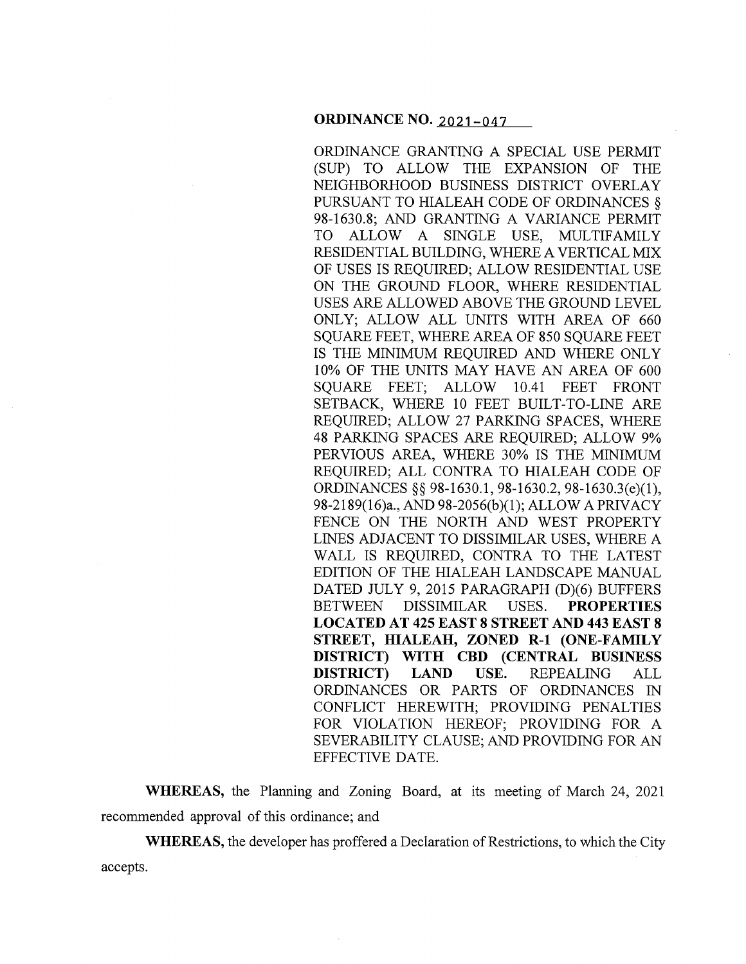## **ORDINANCE NO. 2021-047**

ORDINANCE GRANTING A SPECIAL USE PERMIT (SUP) TO ALLOW THE EXPANSION OF THE NEIGHBORHOOD BUSINESS DISTRICT OVERLAY PURSUANT TO HIALEAH CODE OF ORDINANCES § 98-1630.8; AND GRANTING A VARIANCE PERMIT TO ALLOW A SINGLE USE, MULTIFAMILY RESIDENTIAL BUILDING, WHERE A VERTICAL MIX OF USES IS REQUIRED; ALLOW RESIDENTIAL USE ON THE GROUND FLOOR, WHERE RESIDENTIAL USES ARE ALLOWED ABOVE THE GROUND LEVEL ONLY; ALLOW ALL UNITS WITH AREA OF 660 SQUARE FEET, WHERE AREA OF 850 SOUARE FEET IS THE MINIMUM REQUIRED AND WHERE ONLY 10% OF THE UNITS MAY HAVE AN AREA OF 600 SQUARE FEET; ALLOW 10.41 FEET FRONT SETBACK, WHERE 10 FEET BUILT-TO-LINE ARE REQUIRED; ALLOW 27 PARKING SPACES, WHERE 48 PARKING SPACES ARE REQUIRED; ALLOW 9% PERVIOUS AREA, WHERE 30% IS THE MINIMUM REQUIRED; ALL CONTRA TO HIALEAH CODE OF ORDINANCES§§ 98-1630.1, 98-1630.2, 98-1630.3(e)(l), 98-2189(16)a., AND 98-2056(b )(1 ); ALLOW A PRIVACY FENCE ON THE NORTH AND WEST PROPERTY LINES ADJACENT TO DISSIMILAR USES, WHERE A WALL IS REQUIRED, CONTRA TO THE LATEST EDITION OF THE HIALEAH LANDSCAPE MANUAL DATED JULY 9, 2015 PARAGRAPH (D)(6) BUFFERS BETWEEN DISSIMILAR USES. **PROPERTIES LOCATED AT 425 EAST 8 STREET AND 443 EAST 8 STREET, HIALEAH, ZONED R-1 (ONE-FAMILY DISTRICT) WITH CBD (CENTRAL BUSINESS DISTRICT) LAND USE.** REPEALING ALL ORDINANCES OR PARTS OF ORDINANCES IN CONFLICT HEREWITH; PROVIDING PENALTIES FOR VIOLATION HEREOF; PROVIDING FOR A SEVERABILITY CLAUSE; AND PROVIDING FOR AN EFFECTIVE DATE.

**WHEREAS,** the Planning and Zoning Board, at its meeting of March 24, 2021 recommended approval of this ordinance; and

**WHEREAS,** the developer has proffered a Declaration of Restrictions, to which the City accepts.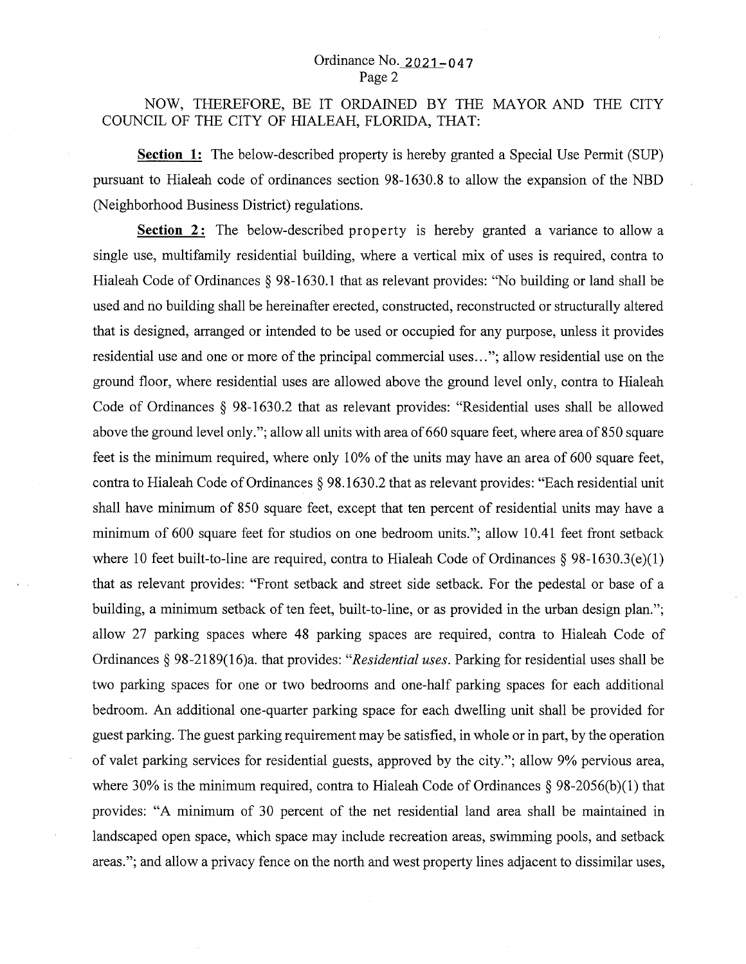# NOW, THEREFORE, BE IT ORDAINED BY THE MAYOR AND THE CITY COUNCIL OF THE CITY OF HIALEAH, FLORIDA, THAT:

**Section 1:** The below-described property is hereby granted a Special Use Permit (SUP) pursuant to Hialeah code of ordinances section 98-1630.8 to allow the expansion of the NBD (Neighborhood Business District) regulations.

**Section** 2: The below-described property is hereby granted a variance to allow a single use, multifamily residential building, where a vertical mix of uses is required, contra to Hialeah Code of Ordinances *§* 98-1630.1 that as relevant provides: "No building or land shall be used and no building shall be hereinafter erected, constructed, reconstructed or structurally altered that is designed, arranged or intended to be used or occupied for any purpose, unless it provides residential use and one or more of the principal commercial uses ... "; allow residential use on the ground floor, where residential uses are allowed above the ground level only, contra to Hialeah Code of Ordinances *§* 98-1630.2 that as relevant provides: "Residential uses shall be allowed above the ground level only."; allow all units with area of 660 square feet, where area of 850 square feet is the minimum required, where only 10% of the units may have an area of 600 square feet, contra to Hialeah Code of Ordinances *§* 98.1630.2 that as relevant provides: "Each residential unit shall have minimum of 850 square feet, except that ten percent of residential units may have a minimum of 600 square feet for studios on one bedroom units."; allow 10.41 feet front setback where 10 feet built-to-line are required, contra to Hialeah Code of Ordinances *§* 98-1630.3(e)(l) that as relevant provides: "Front setback and street side setback. For the pedestal or base of a building, a minimum setback of ten feet, built-to-line, or as provided in the urban design plan."; allow 27 parking spaces where 48 parking spaces are required, contra to Hialeah Code of Ordinances§ 98-2189(16)a. that provides: *"Residential uses.* Parking for residential uses shall be two parking spaces for one or two bedrooms and one-half parking spaces for each additional bedroom. An additional one-quarter parking space for each dwelling unit shall be provided for guest parking. The guest parking requirement may be satisfied, in whole or in part, by the operation of valet parking services for residential guests, approved by the city."; allow 9% pervious area, where 30% is the minimum required, contra to Hialeah Code of Ordinances  $\S$  98-2056(b)(1) that provides: "A minimum of 30 percent of the net residential land area shall be maintained in landscaped open space, which space may include recreation areas, swimming pools, and setback areas."; and allow a privacy fence on the north and west property lines adjacent to dissimilar uses,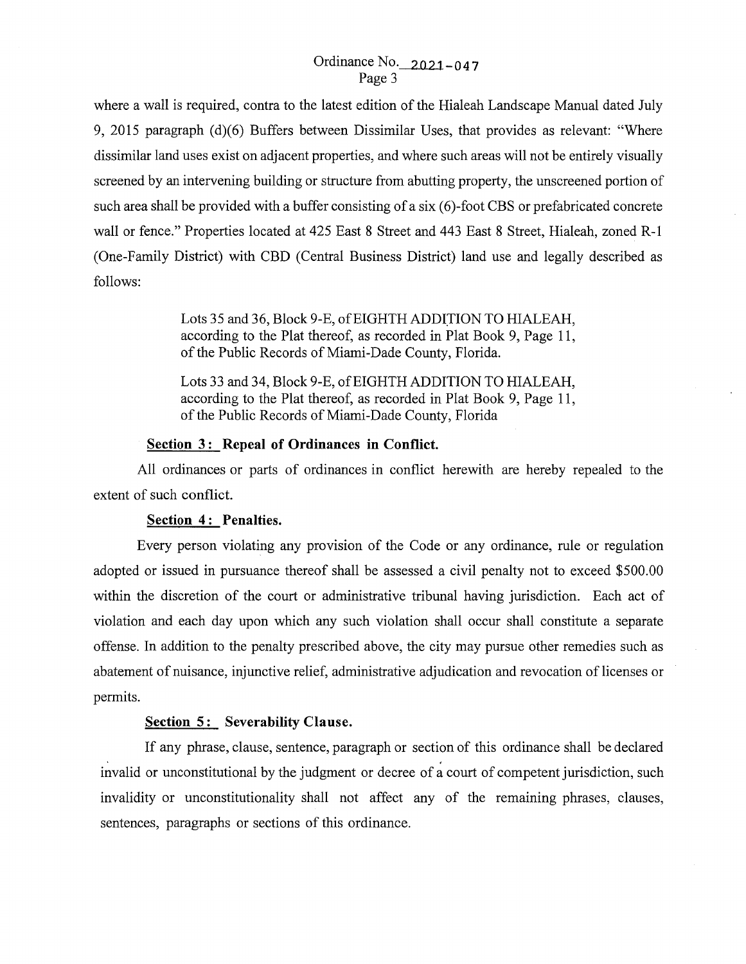# Ordinance No. 2021-0 4 7 Page 3

where a wall is required, contra to the latest edition of the Hialeah Landscape Manual dated July 9, 2015 paragraph (d)(6) Buffers between Dissimilar Uses, that provides as relevant: "Where dissimilar land uses exist on adjacent properties, and where such areas will not be entirely visually screened by an intervening building or structure from abutting property, the unscreened portion of such area shall be provided with a buffer consisting of a six (6)-foot CBS or prefabricated concrete wall or fence." Properties located at 425 East 8 Street and 443 East 8 Street, Hialeah, zoned R-1 (One-Family District) with CBD (Central Business District) land use and legally described as follows:

> Lots 35 and 36, Block 9-E, of EIGHTH ADDITION TO HIALEAH, according to the Plat thereof, as recorded in Plat Book 9, Page 11, of the Public Records of Miami-Dade County, Florida.

> Lots 33 and 34, Block 9-E, of EIGHTH ADDITION TO HIALEAH, according to the Plat thereof, as recorded in Plat Book 9, Page 11, of the Public Records of Miami-Dade County, Florida

#### **<u>Section 3:</u>** Repeal of Ordinances in Conflict.

All ordinances or parts of ordinances in conflict herewith are hereby repealed to the extent of such conflict.

#### **Section 4 : Penalties.**

Every person violating any provision of the Code or any ordinance, rule or regulation adopted or issued in pursuance thereof shall be assessed a civil penalty not to exceed \$500.00 within the discretion of the court or administrative tribunal having jurisdiction. Each act of violation and each day upon which any such violation shall occur shall constitute a separate offense. In addition to the penalty prescribed above, the city may pursue other remedies such as abatement of nuisance, injunctive relief, administrative adjudication and revocation of licenses or permits.

### **Section 5: Severability Clause.**

If any phrase, clause, sentence, paragraph or section of this ordinance shall be declared invalid or unconstitutional by the judgment or decree of  $a$  court of competent jurisdiction, such invalidity or unconstitutionality shall not affect any of the remaining phrases, clauses, sentences, paragraphs or sections of this ordinance.